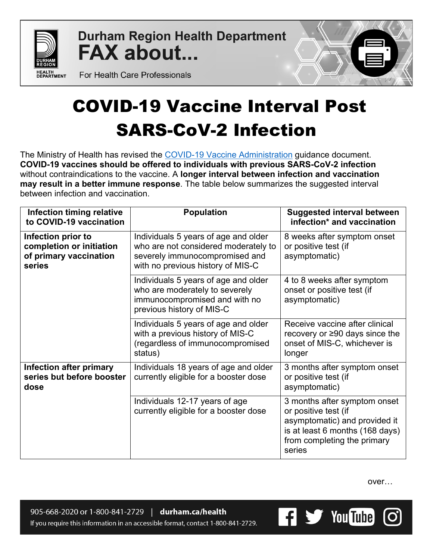

**Durham Region Health Department FAX about...** 



For Health Care Professionals

## COVID-19 Vaccine Interval Post SARS-CoV-2 Infection

The Ministry of Health has revised the [COVID-19 Vaccine](https://www.health.gov.on.ca/en/pro/programs/publichealth/coronavirus/docs/vaccine/COVID-19_vaccine_administration.pdf) Administration guidance document. **COVID-19 vaccines should be offered to individuals with previous SARS-CoV-2 infection** without contraindications to the vaccine. A **longer interval between infection and vaccination may result in a better immune response**. The table below summarizes the suggested interval between infection and vaccination.

| <b>Infection timing relative</b><br>to COVID-19 vaccination                        | <b>Population</b>                                                                                                                                   | <b>Suggested interval between</b><br>infection* and vaccination                                                                                                   |
|------------------------------------------------------------------------------------|-----------------------------------------------------------------------------------------------------------------------------------------------------|-------------------------------------------------------------------------------------------------------------------------------------------------------------------|
| Infection prior to<br>completion or initiation<br>of primary vaccination<br>series | Individuals 5 years of age and older<br>who are not considered moderately to<br>severely immunocompromised and<br>with no previous history of MIS-C | 8 weeks after symptom onset<br>or positive test (if<br>asymptomatic)                                                                                              |
|                                                                                    | Individuals 5 years of age and older<br>who are moderately to severely<br>immunocompromised and with no<br>previous history of MIS-C                | 4 to 8 weeks after symptom<br>onset or positive test (if<br>asymptomatic)                                                                                         |
|                                                                                    | Individuals 5 years of age and older<br>with a previous history of MIS-C<br>(regardless of immunocompromised<br>status)                             | Receive vaccine after clinical<br>recovery or $\geq 90$ days since the<br>onset of MIS-C, whichever is<br>longer                                                  |
| <b>Infection after primary</b><br>series but before booster<br>dose                | Individuals 18 years of age and older<br>currently eligible for a booster dose                                                                      | 3 months after symptom onset<br>or positive test (if<br>asymptomatic)                                                                                             |
|                                                                                    | Individuals 12-17 years of age<br>currently eligible for a booster dose                                                                             | 3 months after symptom onset<br>or positive test (if<br>asymptomatic) and provided it<br>is at least 6 months (168 days)<br>from completing the primary<br>series |

over…